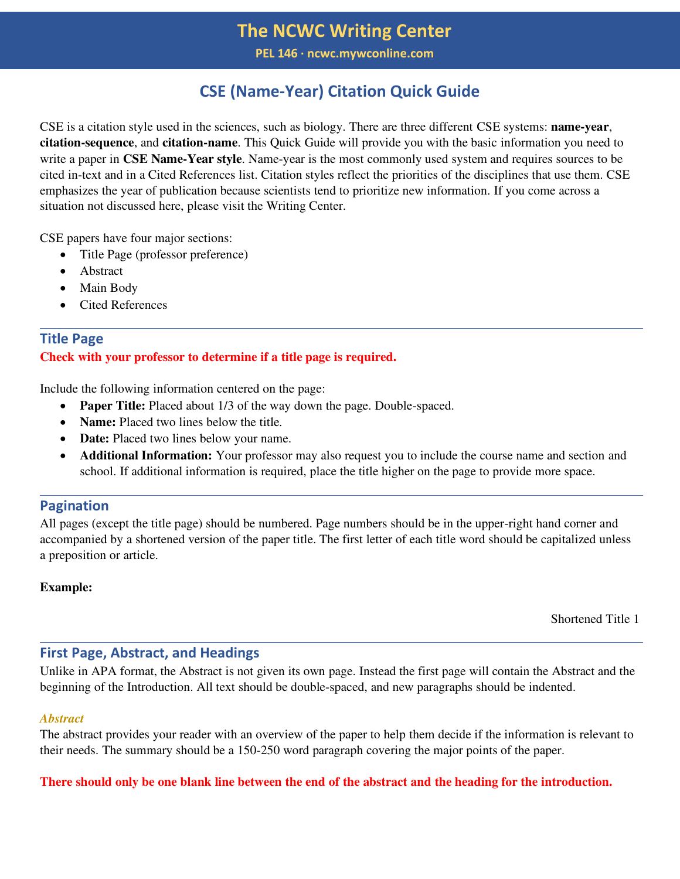## **The NCWC Writing Center**

**PEL 146 ∙ ncwc.mywconline.com**

## **CSE (Name-Year) Citation Quick Guide**

CSE is a citation style used in the sciences, such as biology. There are three different CSE systems: **name-year**, **citation-sequence**, and **citation-name**. This Quick Guide will provide you with the basic information you need to write a paper in **CSE Name-Year style**. Name-year is the most commonly used system and requires sources to be cited in-text and in a Cited References list. Citation styles reflect the priorities of the disciplines that use them. CSE emphasizes the year of publication because scientists tend to prioritize new information. If you come across a situation not discussed here, please visit the Writing Center.

CSE papers have four major sections:

- Title Page (professor preference)
- Abstract
- Main Body
- Cited References

## **Title Page Check with your professor to determine if a title page is required.**

Include the following information centered on the page:

- **Paper Title:** Placed about 1/3 of the way down the page. Double-spaced.
- **Name:** Placed two lines below the title.
- **Date:** Placed two lines below your name.
- **Additional Information:** Your professor may also request you to include the course name and section and school. If additional information is required, place the title higher on the page to provide more space.

## **Pagination**

All pages (except the title page) should be numbered. Page numbers should be in the upper-right hand corner and accompanied by a shortened version of the paper title. The first letter of each title word should be capitalized unless a preposition or article.

#### **Example:**

Shortened Title 1

## **First Page, Abstract, and Headings**

Unlike in APA format, the Abstract is not given its own page. Instead the first page will contain the Abstract and the beginning of the Introduction. All text should be double-spaced, and new paragraphs should be indented.

#### *Abstract*

The abstract provides your reader with an overview of the paper to help them decide if the information is relevant to their needs. The summary should be a 150-250 word paragraph covering the major points of the paper.

## **There should only be one blank line between the end of the abstract and the heading for the introduction.**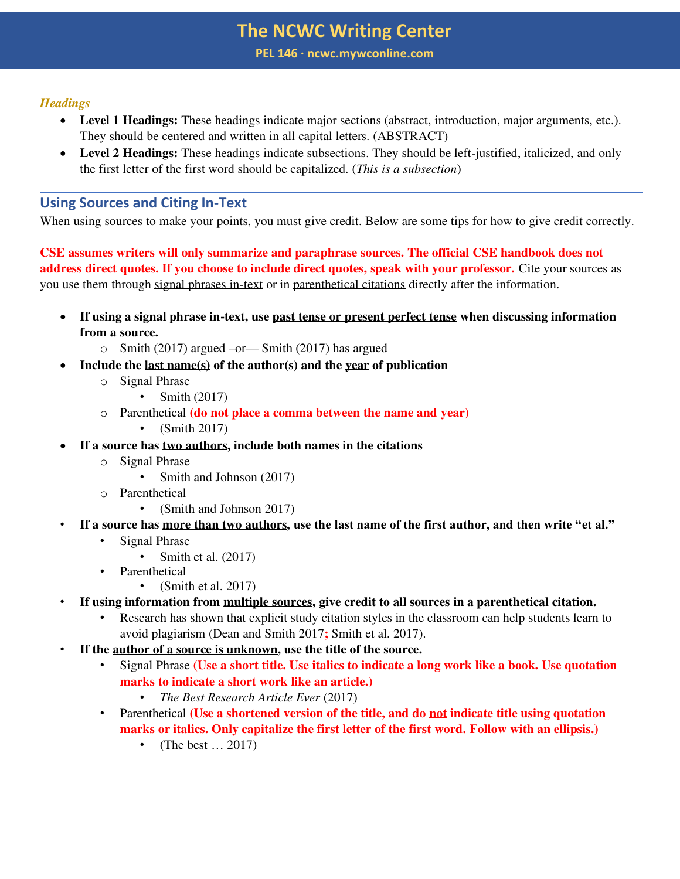## **The NCWC Writing Center**

**PEL 146 ∙ ncwc.mywconline.com**

#### *Headings*

- **Level 1 Headings:** These headings indicate major sections (abstract, introduction, major arguments, etc.). They should be centered and written in all capital letters. (ABSTRACT)
- **Level 2 Headings:** These headings indicate subsections. They should be left-justified, italicized, and only the first letter of the first word should be capitalized. (*This is a subsection*)

## **Using Sources and Citing In-Text**

When using sources to make your points, you must give credit. Below are some tips for how to give credit correctly.

**CSE assumes writers will only summarize and paraphrase sources. The official CSE handbook does not address direct quotes. If you choose to include direct quotes, speak with your professor.** Cite your sources as you use them through signal phrases in-text or in parenthetical citations directly after the information.

- **If using a signal phrase in-text, use past tense or present perfect tense when discussing information from a source.** 
	- $\circ$  Smith (2017) argued –or Smith (2017) has argued
- **Include the last name(s) of the author(s) and the year of publication** 
	- o Signal Phrase
		- Smith (2017)
	- o Parenthetical **(do not place a comma between the name and year)**
		- (Smith 2017)
- **If a source has two authors, include both names in the citations** 
	- o Signal Phrase
		- Smith and Johnson (2017)
	- o Parenthetical
		- (Smith and Johnson 2017)
- **If a source has more than two authors, use the last name of the first author, and then write "et al."** 
	- Signal Phrase
		- Smith et al. (2017)
	- **Parenthetical** 
		- (Smith et al. 2017)
- **If using information from multiple sources, give credit to all sources in a parenthetical citation.** 
	- Research has shown that explicit study citation styles in the classroom can help students learn to avoid plagiarism (Dean and Smith 2017**;** Smith et al. 2017).
- **If the author of a source is unknown, use the title of the source.** 
	- Signal Phrase **(Use a short title. Use italics to indicate a long work like a book. Use quotation marks to indicate a short work like an article.)** 
		- *The Best Research Article Ever* (2017)
	- Parenthetical **(Use a shortened version of the title, and do not indicate title using quotation marks or italics. Only capitalize the first letter of the first word. Follow with an ellipsis.)**
		- (The best ... 2017)